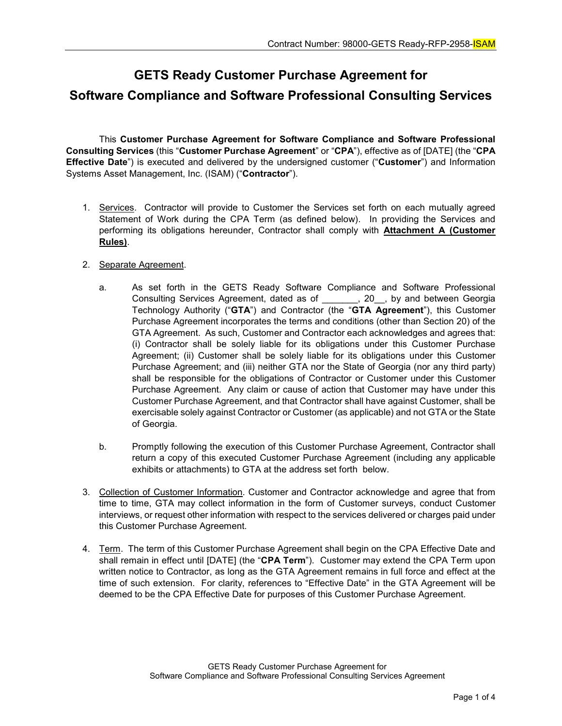## **GETS Ready Customer Purchase Agreement for Software Compliance and Software Professional Consulting Services**

This **Customer Purchase Agreement for Software Compliance and Software Professional Consulting Services** (this "**Customer Purchase Agreement**" or "**CPA**"), effective as of [DATE] (the "**CPA Effective Date**") is executed and delivered by the undersigned customer ("**Customer**") and Information Systems Asset Management, Inc. (ISAM) ("**Contractor**").

- 1. Services. Contractor will provide to Customer the Services set forth on each mutually agreed Statement of Work during the CPA Term (as defined below). In providing the Services and performing its obligations hereunder, Contractor shall comply with **Attachment A (Customer Rules)**.
- 2. Separate Agreement.
	- a. As set forth in the GETS Ready Software Compliance and Software Professional Consulting Services Agreement, dated as of \_\_\_\_\_\_\_, 20\_\_, by and between Georgia Technology Authority ("**GTA**") and Contractor (the "**GTA Agreement**"), this Customer Purchase Agreement incorporates the terms and conditions (other than Section 20) of the GTA Agreement. As such, Customer and Contractor each acknowledges and agrees that: (i) Contractor shall be solely liable for its obligations under this Customer Purchase Agreement; (ii) Customer shall be solely liable for its obligations under this Customer Purchase Agreement; and (iii) neither GTA nor the State of Georgia (nor any third party) shall be responsible for the obligations of Contractor or Customer under this Customer Purchase Agreement. Any claim or cause of action that Customer may have under this Customer Purchase Agreement, and that Contractor shall have against Customer, shall be exercisable solely against Contractor or Customer (as applicable) and not GTA or the State of Georgia.
	- b. Promptly following the execution of this Customer Purchase Agreement, Contractor shall return a copy of this executed Customer Purchase Agreement (including any applicable exhibits or attachments) to GTA at the address set forth below.
- 3. Collection of Customer Information. Customer and Contractor acknowledge and agree that from time to time, GTA may collect information in the form of Customer surveys, conduct Customer interviews, or request other information with respect to the services delivered or charges paid under this Customer Purchase Agreement.
- 4. Term. The term of this Customer Purchase Agreement shall begin on the CPA Effective Date and shall remain in effect until [DATE] (the "**CPA Term**"). Customer may extend the CPA Term upon written notice to Contractor, as long as the GTA Agreement remains in full force and effect at the time of such extension. For clarity, references to "Effective Date" in the GTA Agreement will be deemed to be the CPA Effective Date for purposes of this Customer Purchase Agreement.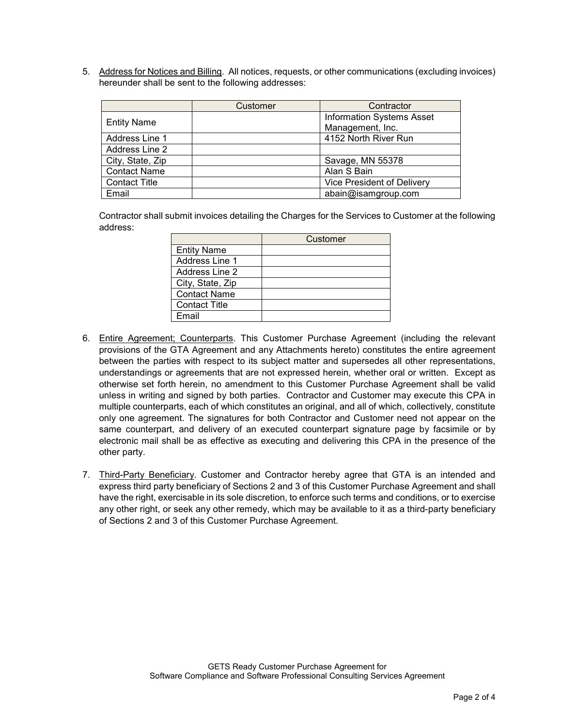5. Address for Notices and Billing. All notices, requests, or other communications (excluding invoices) hereunder shall be sent to the following addresses:

|                      | Customer | Contractor                       |
|----------------------|----------|----------------------------------|
| <b>Entity Name</b>   |          | <b>Information Systems Asset</b> |
|                      |          | Management, Inc.                 |
| Address Line 1       |          | 4152 North River Run             |
| Address Line 2       |          |                                  |
| City, State, Zip     |          | Savage, MN 55378                 |
| <b>Contact Name</b>  |          | Alan S Bain                      |
| <b>Contact Title</b> |          | Vice President of Delivery       |
| Email                |          | abain@isamgroup.com              |

Contractor shall submit invoices detailing the Charges for the Services to Customer at the following address:

|                      | Customer |
|----------------------|----------|
| <b>Entity Name</b>   |          |
| Address Line 1       |          |
| Address Line 2       |          |
| City, State, Zip     |          |
| <b>Contact Name</b>  |          |
| <b>Contact Title</b> |          |
| Fmail                |          |

- 6. Entire Agreement; Counterparts. This Customer Purchase Agreement (including the relevant provisions of the GTA Agreement and any Attachments hereto) constitutes the entire agreement between the parties with respect to its subject matter and supersedes all other representations, understandings or agreements that are not expressed herein, whether oral or written. Except as otherwise set forth herein, no amendment to this Customer Purchase Agreement shall be valid unless in writing and signed by both parties. Contractor and Customer may execute this CPA in multiple counterparts, each of which constitutes an original, and all of which, collectively, constitute only one agreement. The signatures for both Contractor and Customer need not appear on the same counterpart, and delivery of an executed counterpart signature page by facsimile or by electronic mail shall be as effective as executing and delivering this CPA in the presence of the other party.
- 7. Third-Party Beneficiary. Customer and Contractor hereby agree that GTA is an intended and express third party beneficiary of Sections 2 and 3 of this Customer Purchase Agreement and shall have the right, exercisable in its sole discretion, to enforce such terms and conditions, or to exercise any other right, or seek any other remedy, which may be available to it as a third-party beneficiary of Sections 2 and 3 of this Customer Purchase Agreement.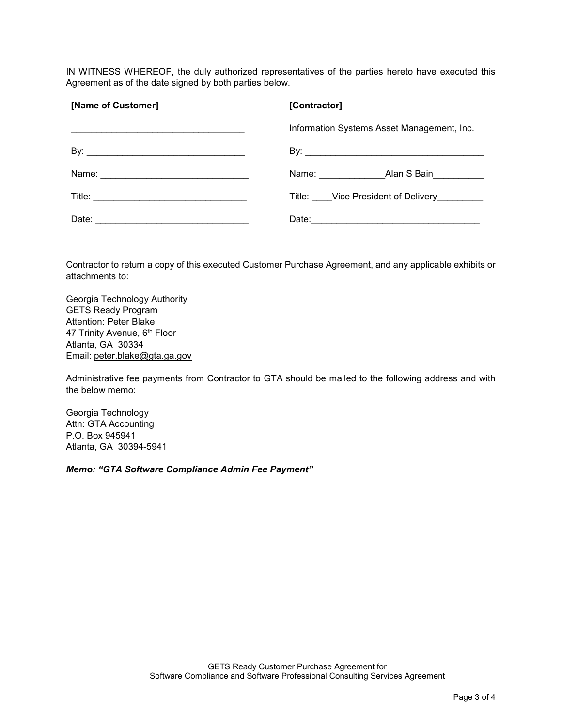IN WITNESS WHEREOF, the duly authorized representatives of the parties hereto have executed this Agreement as of the date signed by both parties below.

| [Name of Customer]                                                                                 | [Contractor]                               |
|----------------------------------------------------------------------------------------------------|--------------------------------------------|
|                                                                                                    | Information Systems Asset Management, Inc. |
|                                                                                                    |                                            |
|                                                                                                    | Name: Alan S Bain                          |
|                                                                                                    | Title: Vice President of Delivery          |
| Date:<br>the control of the control of the control of the control of the control of the control of |                                            |

Contractor to return a copy of this executed Customer Purchase Agreement, and any applicable exhibits or attachments to:

Georgia Technology Authority GETS Ready Program Attention: Peter Blake 47 Trinity Avenue, 6<sup>th</sup> Floor Atlanta, GA 30334 Email: [peter.blake@gta.ga.gov](mailto:peter.blake@gta.ga.gov)

Administrative fee payments from Contractor to GTA should be mailed to the following address and with the below memo:

Georgia Technology Attn: GTA Accounting P.O. Box 945941 Atlanta, GA 30394-5941

*Memo: "GTA Software Compliance Admin Fee Payment"*